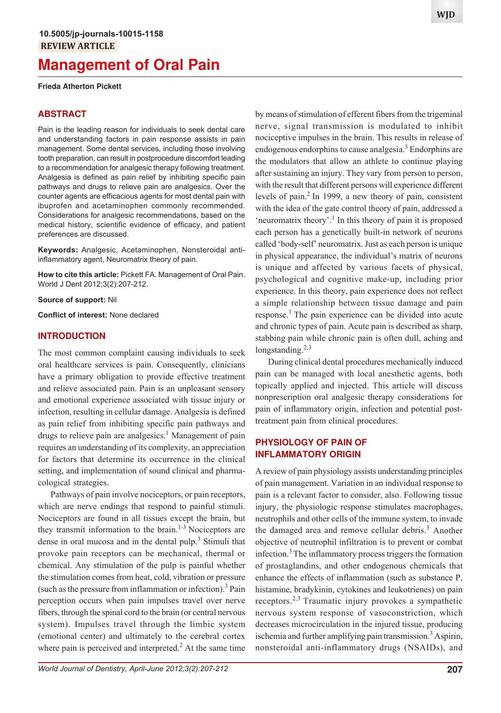# **Management of Oral Pain**

#### **Frieda Atherton Pickett**

#### **ABSTRACT**

Pain is the leading reason for individuals to seek dental care and understanding factors in pain response assists in pain management. Some dental services, including those involving tooth preparation, can result in postprocedure discomfort leading to a recommendation for analgesic therapy following treatment. Analgesia is defined as pain relief by inhibiting specific pain pathways and drugs to relieve pain are analgesics. Over the counter agents are efficacious agents for most dental pain with ibuprofen and acetaminophen commonly recommended. Considerations for analgesic recommendations, based on the medical history, scientific evidence of efficacy, and patient preferences are discussed.

**Keywords:** Analgesic, Acetaminophen, Nonsteroidal antiinflammatory agent, Neuromatrix theory of pain.

**How to cite this article:** Pickett FA. Management of Oral Pain. World J Dent 2012;3(2):207-212.

**Source of support:** Nil

**Conflict of interest:** None declared

#### **INTRODUCTION**

The most common complaint causing individuals to seek oral healthcare services is pain. Consequently, clinicians have a primary obligation to provide effective treatment and relieve associated pain. Pain is an unpleasant sensory and emotional experience associated with tissue injury or infection, resulting in cellular damage. Analgesia is defined as pain relief from inhibiting specific pain pathways and drugs to relieve pain are analgesics.<sup>1</sup> Management of pain requires an understanding of its complexity, an appreciation for factors that determine its occurrence in the clinical setting, and implementation of sound clinical and pharmacological strategies.

Pathways of pain involve nociceptors, or pain receptors, which are nerve endings that respond to painful stimuli. Nociceptors are found in all tissues except the brain, but they transmit information to the brain.<sup>1-3</sup> Nociceptors are dense in oral mucosa and in the dental pulp.<sup>3</sup> Stimuli that provoke pain receptors can be mechanical, thermal or chemical. Any stimulation of the pulp is painful whether the stimulation comes from heat, cold, vibration or pressure (such as the pressure from inflammation or infection).<sup>3</sup> Pain perception occurs when pain impulses travel over nerve fibers, through the spinal cord to the brain (or central nervous system). Impulses travel through the limbic system (emotional center) and ultimately to the cerebral cortex where pain is perceived and interpreted. $<sup>2</sup>$  At the same time</sup>

nerve, signal transmission is modulated to inhibit nociceptive impulses in the brain. This results in release of endogenous endorphins to cause analgesia.<sup>3</sup> Endorphins are the modulators that allow an athlete to continue playing after sustaining an injury. They vary from person to person, with the result that different persons will experience different levels of pain. $^{2}$  In 1999, a new theory of pain, consistent with the idea of the gate control theory of pain, addressed a 'neuromatrix theory'.<sup>1</sup> In this theory of pain it is proposed each person has a genetically built-in network of neurons called 'body-self' neuromatrix. Just as each person is unique in physical appearance, the individual's matrix of neurons is unique and affected by various facets of physical, psychological and cognitive make-up, including prior experience. In this theory, pain experience does not reflect a simple relationship between tissue damage and pain response.<sup>1</sup> The pain experience can be divided into acute and chronic types of pain. Acute pain is described as sharp, stabbing pain while chronic pain is often dull, aching and longstanding. $2,3$ During clinical dental procedures mechanically induced

by means of stimulation of efferent fibers from the trigeminal

pain can be managed with local anesthetic agents, both topically applied and injected. This article will discuss nonprescription oral analgesic therapy considerations for pain of inflammatory origin, infection and potential posttreatment pain from clinical procedures.

## **PHYSIOLOGY OF PAIN OF INFLAMMATORY ORIGIN**

A review of pain physiology assists understanding principles of pain management. Variation in an individual response to pain is a relevant factor to consider, also. Following tissue injury, the physiologic response stimulates macrophages, neutrophils and other cells of the immune system, to invade the damaged area and remove cellular debris.<sup>3</sup> Another objective of neutrophil infiltration is to prevent or combat infection.3 The inflammatory process triggers the formation of prostaglandins, and other endogenous chemicals that enhance the effects of inflammation (such as substance P, histamine, bradykinin, cytokines and leukotrienes) on pain receptors.<sup>2,3</sup> Traumatic injury provokes a sympathetic nervous system response of vasoconstriction, which decreases microcirculation in the injured tissue, producing ischemia and further amplifying pain transmission.<sup>3</sup> Aspirin, nonsteroidal anti-inflammatory drugs (NSAIDs), and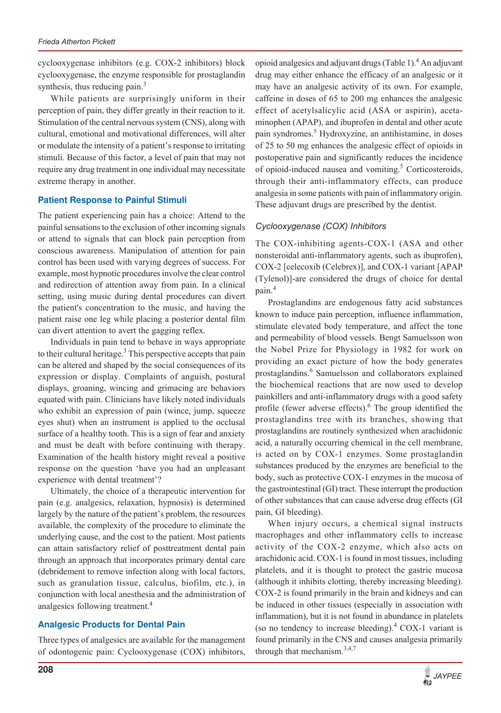cyclooxygenase inhibitors (e.g. COX-2 inhibitors) block cyclooxygenase, the enzyme responsible for prostaglandin synthesis, thus reducing pain. $3$ 

While patients are surprisingly uniform in their perception of pain, they differ greatly in their reaction to it. Stimulation of the central nervous system (CNS), along with cultural, emotional and motivational differences, will alter or modulate the intensity of a patient's response to irritating stimuli. Because of this factor, a level of pain that may not require any drug treatment in one individual may necessitate extreme therapy in another.

#### **Patient Response to Painful Stimuli**

The patient experiencing pain has a choice: Attend to the painful sensations to the exclusion of other incoming signals or attend to signals that can block pain perception from conscious awareness. Manipulation of attention for pain control has been used with varying degrees of success. For example, most hypnotic procedures involve the clear control and redirection of attention away from pain. In a clinical setting, using music during dental procedures can divert the patient's concentration to the music, and having the patient raise one leg while placing a posterior dental film can divert attention to avert the gagging reflex.

Individuals in pain tend to behave in ways appropriate to their cultural heritage.<sup>3</sup> This perspective accepts that pain can be altered and shaped by the social consequences of its expression or display. Complaints of anguish, postural displays, groaning, wincing and grimacing are behaviors equated with pain. Clinicians have likely noted individuals who exhibit an expression of pain (wince, jump, squeeze eyes shut) when an instrument is applied to the occlusal surface of a healthy tooth. This is a sign of fear and anxiety and must be dealt with before continuing with therapy. Examination of the health history might reveal a positive response on the question 'have you had an unpleasant experience with dental treatment'?

Ultimately, the choice of a therapeutic intervention for pain (e.g. analgesics, relaxation, hypnosis) is determined largely by the nature of the patient's problem, the resources available, the complexity of the procedure to eliminate the underlying cause, and the cost to the patient. Most patients can attain satisfactory relief of posttreatment dental pain through an approach that incorporates primary dental care (debridement to remove infection along with local factors, such as granulation tissue, calculus, biofilm, etc.), in conjunction with local anesthesia and the administration of analgesics following treatment.<sup>4</sup>

## **Analgesic Products for Dental Pain**

Three types of analgesics are available for the management of odontogenic pain: Cyclooxygenase (COX) inhibitors,

opioid analgesics and adjuvant drugs (Table 1).<sup>4</sup> An adjuvant drug may either enhance the efficacy of an analgesic or it may have an analgesic activity of its own. For example, caffeine in doses of 65 to 200 mg enhances the analgesic effect of acetylsalicylic acid (ASA or aspirin), acetaminophen (APAP), and ibuprofen in dental and other acute pain syndromes.<sup>5</sup> Hydroxyzine, an antihistamine, in doses of 25 to 50 mg enhances the analgesic effect of opioids in postoperative pain and significantly reduces the incidence of opioid-induced nausea and vomiting.<sup>5</sup> Corticosteroids, through their anti-inflammatory effects, can produce analgesia in some patients with pain of inflammatory origin. These adjuvant drugs are prescribed by the dentist.

## *Cyclooxygenase (COX) Inhibitors*

The COX-inhibiting agents-COX-1 (ASA and other nonsteroidal anti-inflammatory agents, such as ibuprofen), COX-2 [celecoxib (Celebrex)], and COX-1 variant [APAP (Tylenol)]-are considered the drugs of choice for dental pain.<sup>4</sup>

Prostaglandins are endogenous fatty acid substances known to induce pain perception, influence inflammation, stimulate elevated body temperature, and affect the tone and permeability of blood vessels. Bengt Samuelsson won the Nobel Prize for Physiology in 1982 for work on providing an exact picture of how the body generates prostaglandins.<sup>6</sup> Samuelsson and collaborators explained the biochemical reactions that are now used to develop painkillers and anti-inflammatory drugs with a good safety profile (fewer adverse effects).<sup>6</sup> The group identified the prostaglandins tree with its branches, showing that prostaglandins are routinely synthesized when arachidonic acid, a naturally occurring chemical in the cell membrane, is acted on by COX-1 enzymes. Some prostaglandin substances produced by the enzymes are beneficial to the body, such as protective COX-1 enzymes in the mucosa of the gastrointestinal (GI) tract. These interrupt the production of other substances that can cause adverse drug effects (GI pain, GI bleeding).

When injury occurs, a chemical signal instructs macrophages and other inflammatory cells to increase activity of the COX-2 enzyme, which also acts on arachidonic acid. COX-1 is found in most tissues, including platelets, and it is thought to protect the gastric mucosa (although it inhibits clotting, thereby increasing bleeding). COX-2 is found primarily in the brain and kidneys and can be induced in other tissues (especially in association with inflammation), but it is not found in abundance in platelets (so no tendency to increase bleeding). $<sup>4</sup>$  COX-1 variant is</sup> found primarily in the CNS and causes analgesia primarily through that mechanism. $3,4,7$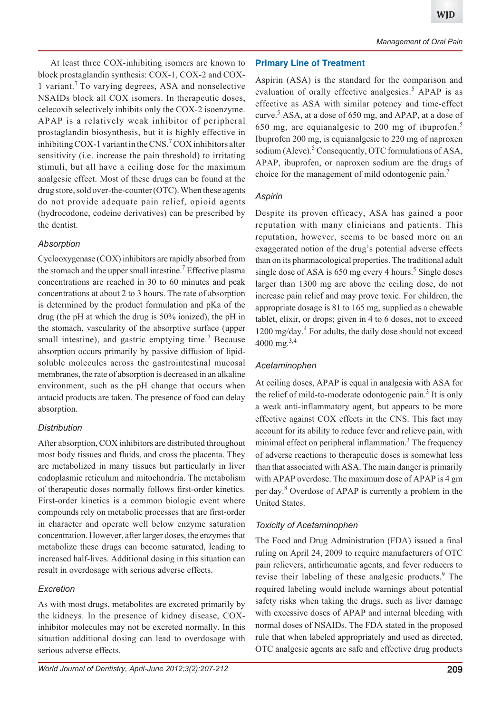At least three COX-inhibiting isomers are known to block prostaglandin synthesis: COX-1, COX-2 and COX-1 variant.7 To varying degrees, ASA and nonselective NSAIDs block all COX isomers. In therapeutic doses, celecoxib selectively inhibits only the COX-2 isoenzyme. APAP is a relatively weak inhibitor of peripheral prostaglandin biosynthesis, but it is highly effective in inhibiting COX-1 variant in the CNS.<sup>7</sup> COX inhibitors alter sensitivity (i.e. increase the pain threshold) to irritating stimuli, but all have a ceiling dose for the maximum analgesic effect. Most of these drugs can be found at the drug store, sold over-the-counter (OTC). When these agents do not provide adequate pain relief, opioid agents (hydrocodone, codeine derivatives) can be prescribed by the dentist.

## *Absorption*

Cyclooxygenase (COX) inhibitors are rapidly absorbed from the stomach and the upper small intestine.<sup>7</sup> Effective plasma concentrations are reached in 30 to 60 minutes and peak concentrations at about 2 to 3 hours. The rate of absorption is determined by the product formulation and pKa of the drug (the pH at which the drug is 50% ionized), the pH in the stomach, vascularity of the absorptive surface (upper small intestine), and gastric emptying time.<sup>7</sup> Because absorption occurs primarily by passive diffusion of lipidsoluble molecules across the gastrointestinal mucosal membranes, the rate of absorption is decreased in an alkaline environment, such as the pH change that occurs when antacid products are taken. The presence of food can delay absorption.

# *Distribution*

After absorption, COX inhibitors are distributed throughout most body tissues and fluids, and cross the placenta. They are metabolized in many tissues but particularly in liver endoplasmic reticulum and mitochondria. The metabolism of therapeutic doses normally follows first-order kinetics. First-order kinetics is a common biologic event where compounds rely on metabolic processes that are first-order in character and operate well below enzyme saturation concentration. However, after larger doses, the enzymes that metabolize these drugs can become saturated, leading to increased half-lives. Additional dosing in this situation can result in overdosage with serious adverse effects.

# *Excretion*

As with most drugs, metabolites are excreted primarily by the kidneys. In the presence of kidney disease, COXinhibitor molecules may not be excreted normally. In this situation additional dosing can lead to overdosage with serious adverse effects.

## **Primary Line of Treatment**

Aspirin (ASA) is the standard for the comparison and evaluation of orally effective analgesics.<sup>5</sup> APAP is as effective as ASA with similar potency and time-effect curve.<sup>5</sup> ASA, at a dose of 650 mg, and APAP, at a dose of 650 mg, are equianalgesic to 200 mg of ibuprofen.<sup>5</sup> Ibuprofen 200 mg, is equianalgesic to 220 mg of naproxen sodium (Aleve).<sup>5</sup> Consequently, OTC formulations of ASA, APAP, ibuprofen, or naproxen sodium are the drugs of choice for the management of mild odontogenic pain.<sup>7</sup>

## *Aspirin*

Despite its proven efficacy, ASA has gained a poor reputation with many clinicians and patients. This reputation, however, seems to be based more on an exaggerated notion of the drug's potential adverse effects than on its pharmacological properties. The traditional adult single dose of ASA is 650 mg every 4 hours.<sup>5</sup> Single doses larger than 1300 mg are above the ceiling dose, do not increase pain relief and may prove toxic. For children, the appropriate dosage is 81 to 165 mg, supplied as a chewable tablet, elixir, or drops; given in 4 to 6 doses, not to exceed 1200 mg/day.<sup>4</sup> For adults, the daily dose should not exceed  $4000 \text{ mg.}^{3,4}$ 

# *Acetaminophen*

At ceiling doses, APAP is equal in analgesia with ASA for the relief of mild-to-moderate odontogenic pain.<sup>3</sup> It is only a weak anti-inflammatory agent, but appears to be more effective against COX effects in the CNS. This fact may account for its ability to reduce fever and relieve pain, with minimal effect on peripheral inflammation.<sup>3</sup> The frequency of adverse reactions to therapeutic doses is somewhat less than that associated with ASA. The main danger is primarily with APAP overdose. The maximum dose of APAP is 4 gm per day.<sup>8</sup> Overdose of APAP is currently a problem in the United States.

# *Toxicity of Acetaminophen*

The Food and Drug Administration (FDA) issued a final ruling on April 24, 2009 to require manufacturers of OTC pain relievers, antirheumatic agents, and fever reducers to revise their labeling of these analgesic products.<sup>9</sup> The required labeling would include warnings about potential safety risks when taking the drugs, such as liver damage with excessive doses of APAP and internal bleeding with normal doses of NSAIDs. The FDA stated in the proposed rule that when labeled appropriately and used as directed, OTC analgesic agents are safe and effective drug products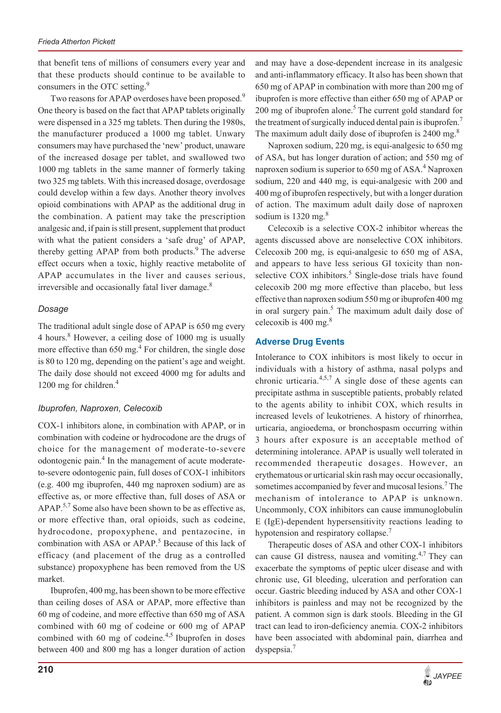that benefit tens of millions of consumers every year and that these products should continue to be available to consumers in the OTC setting.<sup>9</sup>

Two reasons for APAP overdoses have been proposed.<sup>9</sup> One theory is based on the fact that APAP tablets originally were dispensed in a 325 mg tablets. Then during the 1980s, the manufacturer produced a 1000 mg tablet. Unwary consumers may have purchased the 'new' product, unaware of the increased dosage per tablet, and swallowed two 1000 mg tablets in the same manner of formerly taking two 325 mg tablets. With this increased dosage, overdosage could develop within a few days. Another theory involves opioid combinations with APAP as the additional drug in the combination. A patient may take the prescription analgesic and, if pain is still present, supplement that product with what the patient considers a 'safe drug' of APAP, thereby getting APAP from both products.<sup>9</sup> The adverse effect occurs when a toxic, highly reactive metabolite of APAP accumulates in the liver and causes serious, irreversible and occasionally fatal liver damage.<sup>8</sup>

#### *Dosage*

The traditional adult single dose of APAP is 650 mg every 4 hours.<sup>8</sup> However, a ceiling dose of 1000 mg is usually more effective than  $650$  mg.<sup>4</sup> For children, the single dose is 80 to 120 mg, depending on the patient's age and weight. The daily dose should not exceed 4000 mg for adults and 1200 mg for children.<sup>4</sup>

## *Ibuprofen, Naproxen, Celecoxib*

COX-1 inhibitors alone, in combination with APAP, or in combination with codeine or hydrocodone are the drugs of choice for the management of moderate-to-severe odontogenic pain.<sup>4</sup> In the management of acute moderateto-severe odontogenic pain, full doses of COX-1 inhibitors (e.g. 400 mg ibuprofen, 440 mg naproxen sodium) are as effective as, or more effective than, full doses of ASA or APAP.<sup>5,7</sup> Some also have been shown to be as effective as, or more effective than, oral opioids, such as codeine, hydrocodone, propoxyphene, and pentazocine, in combination with ASA or APAP.<sup>5</sup> Because of this lack of efficacy (and placement of the drug as a controlled substance) propoxyphene has been removed from the US market.

Ibuprofen, 400 mg, has been shown to be more effective than ceiling doses of ASA or APAP, more effective than 60 mg of codeine, and more effective than 650 mg of ASA combined with 60 mg of codeine or 600 mg of APAP combined with 60 mg of codeine. $4.5$  Ibuprofen in doses between 400 and 800 mg has a longer duration of action

and may have a dose-dependent increase in its analgesic and anti-inflammatory efficacy. It also has been shown that 650 mg of APAP in combination with more than 200 mg of ibuprofen is more effective than either 650 mg of APAP or 200 mg of ibuprofen alone.<sup>5</sup> The current gold standard for the treatment of surgically induced dental pain is ibuprofen.<sup>7</sup> The maximum adult daily dose of ibuprofen is  $2400$  mg.<sup>8</sup>

Naproxen sodium, 220 mg, is equi-analgesic to 650 mg of ASA, but has longer duration of action; and 550 mg of naproxen sodium is superior to 650 mg of ASA.<sup>4</sup> Naproxen sodium, 220 and 440 mg, is equi-analgesic with 200 and 400 mg of ibuprofen respectively, but with a longer duration of action. The maximum adult daily dose of naproxen sodium is  $1320$  mg.<sup>8</sup>

Celecoxib is a selective COX-2 inhibitor whereas the agents discussed above are nonselective COX inhibitors. Celecoxib 200 mg, is equi-analgesic to 650 mg of ASA, and appears to have less serious GI toxicity than nonselective COX inhibitors.<sup>5</sup> Single-dose trials have found celecoxib 200 mg more effective than placebo, but less effective than naproxen sodium 550 mg or ibuprofen 400 mg in oral surgery pain.<sup>5</sup> The maximum adult daily dose of celecoxib is  $400 \text{ mg}$ .<sup>8</sup>

## **Adverse Drug Events**

Intolerance to COX inhibitors is most likely to occur in individuals with a history of asthma, nasal polyps and chronic urticaria. $4,5,7$  A single dose of these agents can precipitate asthma in susceptible patients, probably related to the agents ability to inhibit COX, which results in increased levels of leukotrienes. A history of rhinorrhea, urticaria, angioedema, or bronchospasm occurring within 3 hours after exposure is an acceptable method of determining intolerance. APAP is usually well tolerated in recommended therapeutic dosages. However, an erythematous or urticarial skin rash may occur occasionally, sometimes accompanied by fever and mucosal lesions.<sup>7</sup> The mechanism of intolerance to APAP is unknown. Uncommonly, COX inhibitors can cause immunoglobulin E (IgE)-dependent hypersensitivity reactions leading to hypotension and respiratory collapse.<sup>7</sup>

Therapeutic doses of ASA and other COX-1 inhibitors can cause GI distress, nausea and vomiting. $4,7$  They can exacerbate the symptoms of peptic ulcer disease and with chronic use, GI bleeding, ulceration and perforation can occur. Gastric bleeding induced by ASA and other COX-1 inhibitors is painless and may not be recognized by the patient. A common sign is dark stools. Bleeding in the GI tract can lead to iron-deficiency anemia. COX-2 inhibitors have been associated with abdominal pain, diarrhea and dyspepsia.<sup>7</sup>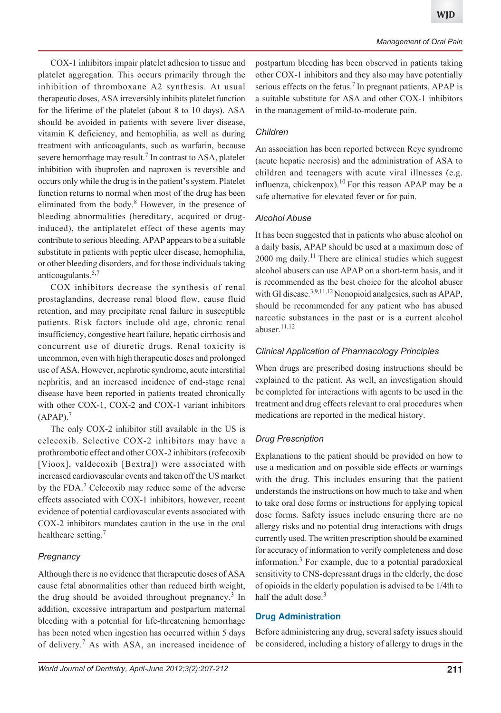COX-1 inhibitors impair platelet adhesion to tissue and platelet aggregation. This occurs primarily through the inhibition of thromboxane A2 synthesis. At usual therapeutic doses, ASA irreversibly inhibits platelet function for the lifetime of the platelet (about 8 to 10 days). ASA should be avoided in patients with severe liver disease, vitamin K deficiency, and hemophilia, as well as during treatment with anticoagulants, such as warfarin, because severe hemorrhage may result.<sup>7</sup> In contrast to ASA, platelet inhibition with ibuprofen and naproxen is reversible and occurs only while the drug is in the patient's system. Platelet function returns to normal when most of the drug has been eliminated from the body.<sup>8</sup> However, in the presence of bleeding abnormalities (hereditary, acquired or druginduced), the antiplatelet effect of these agents may contribute to serious bleeding. APAP appears to be a suitable substitute in patients with peptic ulcer disease, hemophilia, or other bleeding disorders, and for those individuals taking anticoagulants.5,7

COX inhibitors decrease the synthesis of renal prostaglandins, decrease renal blood flow, cause fluid retention, and may precipitate renal failure in susceptible patients. Risk factors include old age, chronic renal insufficiency, congestive heart failure, hepatic cirrhosis and concurrent use of diuretic drugs. Renal toxicity is uncommon, even with high therapeutic doses and prolonged use of ASA. However, nephrotic syndrome, acute interstitial nephritis, and an increased incidence of end-stage renal disease have been reported in patients treated chronically with other COX-1, COX-2 and COX-1 variant inhibitors  $(APAP).<sup>7</sup>$ 

The only COX-2 inhibitor still available in the US is celecoxib. Selective COX-2 inhibitors may have a prothrombotic effect and other COX-2 inhibitors (rofecoxib [Vioox], valdecoxib [Bextra]) were associated with increased cardiovascular events and taken off the US market by the FDA.<sup>7</sup> Celecoxib may reduce some of the adverse effects associated with COX-1 inhibitors, however, recent evidence of potential cardiovascular events associated with COX-2 inhibitors mandates caution in the use in the oral healthcare setting.<sup>7</sup>

# *Pregnancy*

Although there is no evidence that therapeutic doses of ASA cause fetal abnormalities other than reduced birth weight, the drug should be avoided throughout pregnancy.<sup>3</sup> In addition, excessive intrapartum and postpartum maternal bleeding with a potential for life-threatening hemorrhage has been noted when ingestion has occurred within 5 days of delivery.<sup>7</sup> As with ASA, an increased incidence of postpartum bleeding has been observed in patients taking other COX-1 inhibitors and they also may have potentially serious effects on the fetus.<sup>7</sup> In pregnant patients, APAP is a suitable substitute for ASA and other COX-1 inhibitors in the management of mild-to-moderate pain.

## *Children*

An association has been reported between Reye syndrome (acute hepatic necrosis) and the administration of ASA to children and teenagers with acute viral illnesses (e.g. influenza, chickenpox).<sup>10</sup> For this reason APAP may be a safe alternative for elevated fever or for pain.

## *Alcohol Abuse*

It has been suggested that in patients who abuse alcohol on a daily basis, APAP should be used at a maximum dose of  $2000$  mg daily.<sup>11</sup> There are clinical studies which suggest alcohol abusers can use APAP on a short-term basis, and it is recommended as the best choice for the alcohol abuser with GI disease.<sup>3,9,11,12</sup> Nonopioid analgesics, such as APAP, should be recommended for any patient who has abused narcotic substances in the past or is a current alcohol abuser. $11,12$ 

# *Clinical Application of Pharmacology Principles*

When drugs are prescribed dosing instructions should be explained to the patient. As well, an investigation should be completed for interactions with agents to be used in the treatment and drug effects relevant to oral procedures when medications are reported in the medical history.

# *Drug Prescription*

Explanations to the patient should be provided on how to use a medication and on possible side effects or warnings with the drug. This includes ensuring that the patient understands the instructions on how much to take and when to take oral dose forms or instructions for applying topical dose forms. Safety issues include ensuring there are no allergy risks and no potential drug interactions with drugs currently used. The written prescription should be examined for accuracy of information to verify completeness and dose information.<sup>3</sup> For example, due to a potential paradoxical sensitivity to CNS-depressant drugs in the elderly, the dose of opioids in the elderly population is advised to be 1/4th to half the adult dose.<sup>3</sup>

## **Drug Administration**

Before administering any drug, several safety issues should be considered, including a history of allergy to drugs in the